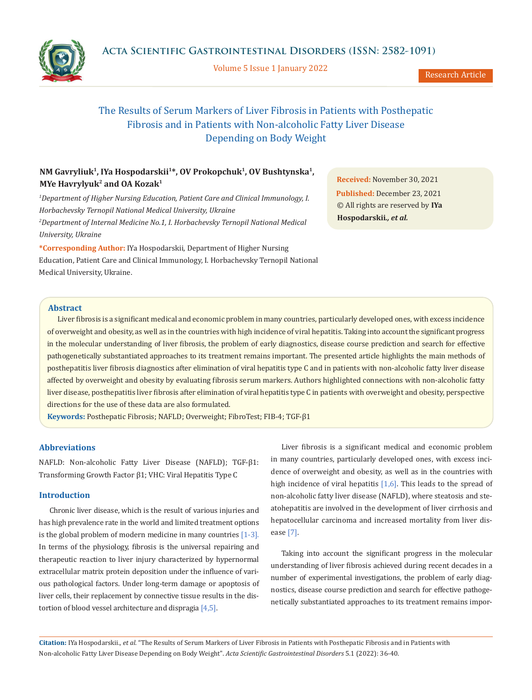

Volume 5 Issue 1 January 2022



Research Article

# The Results of Serum Markers of Liver Fibrosis in Patients with Posthepatic Fibrosis and in Patients with Non-alcoholic Fatty Liver Disease Depending on Body Weight

## **NM Gavryliuk1, ІYa Hospodarskii<sup>1</sup>\*, OV Prokopchuk<sup>1</sup>, ОV Bushtynska1, MYe Havrylyuk<sup>2</sup> and OA Kozak<sup>1</sup>**

*1 Department of Higher Nursing Education, Patient Care and Clinical Immunology, I. Horbachevsky Ternopil National Medical University, Ukraine 2 Department of Internal Medicine No.1, I. Horbachevsky Ternopil National Medical University, Ukraine*

**\*Corresponding Author:** ІYa Hospodarskii, Department of Higher Nursing Education, Patient Care and Clinical Immunology, I. Horbachevsky Ternopil National Medical University, Ukraine.

**Received:** November 30, 2021 **Published:** December 23, 2021 © All rights are reserved by **ІYa Hospodarskii***., et al.*

## **Abstract**

Liver fibrosis is a significant medical and economic problem in many countries, particularly developed ones, with excess incidence of overweight and obesity, as well as in the countries with high incidence of viral hepatitis. Taking into account the significant progress in the molecular understanding of liver fibrosis, the problem of early diagnostics, disease course prediction and search for effective pathogenetically substantiated approaches to its treatment remains important. The presented article highlights the main methods of posthepatitis liver fibrosis diagnostics after elimination of viral hepatitis type C and in patients with non-alcoholic fatty liver disease affected by overweight and obesity by evaluating fibrosis serum markers. Authors highlighted connections with non-alcoholic fatty liver disease, posthepatitis liver fibrosis after elimination of viral hepatitis type C in patients with overweight and obesity, perspective directions for the use of these data are also formulated.

**Keywords:** Posthepatic Fibrosis; NAFLD; Overweight; FibroTest; FIB-4; TGF-β1

#### **Abbreviations**

NAFLD: Non-alcoholic Fatty Liver Disease (NAFLD); TGF-β1: Transforming Growth Factor β1; VHC: Viral Hepatitis Type C

## **Introduction**

Chronic liver disease, which is the result of various injuries and has high prevalence rate in the world and limited treatment options is the global problem of modern medicine in many countries [1-3]. In terms of the physiology, fibrosis is the universal repairing and therapeutic reaction to liver injury characterized by hypernormal extracellular matrix protein deposition under the influence of various pathological factors. Under long-term damage or apoptosis of liver cells, their replacement by connective tissue results in the distortion of blood vessel architecture and dispragia [4,5].

Liver fibrosis is a significant medical and economic problem in many countries, particularly developed ones, with excess incidence of overweight and obesity, as well as in the countries with high incidence of viral hepatitis  $[1,6]$ . This leads to the spread of non-alcoholic fatty liver disease (NAFLD), where steatosis and steatohepatitis are involved in the development of liver cirrhosis and hepatocellular carcinoma and increased mortality from liver disease [7].

Taking into account the significant progress in the molecular understanding of liver fibrosis achieved during recent decades in a number of experimental investigations, the problem of early diagnostics, disease course prediction and search for effective pathogenetically substantiated approaches to its treatment remains impor-

**Citation:** ІYa Hospodarskii*., et al.* "The Results of Serum Markers of Liver Fibrosis in Patients with Posthepatic Fibrosis and in Patients with Non-alcoholic Fatty Liver Disease Depending on Body Weight". *Acta Scientific Gastrointestinal Disorders* 5.1 (2022): 36-40.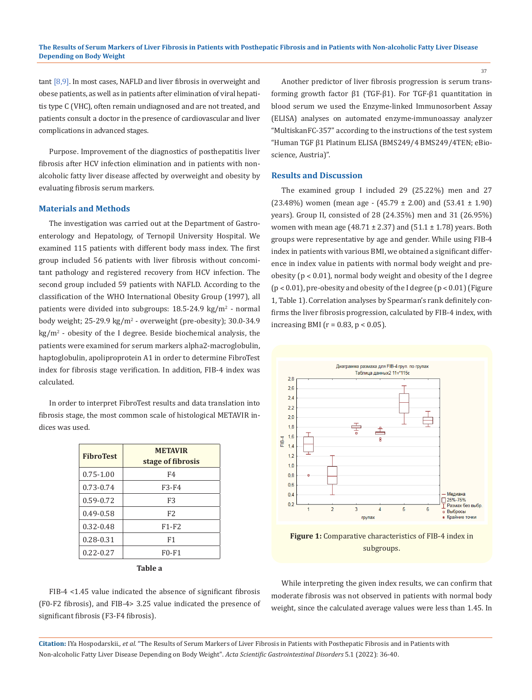tant [8,9]. In most cases, NAFLD and liver fibrosis in overweight and obese patients, as well as in patients after elimination of viral hepatitis type C (VHC), often remain undiagnosed and are not treated, and patients consult a doctor in the presence of cardiovascular and liver complications in advanced stages.

Purpose. Improvement of the diagnostics of posthepatitis liver fibrosis after HCV infection elimination and in patients with nonalcoholic fatty liver disease affected by overweight and obesity by evaluating fibrosis serum markers.

## **Materials and Methods**

The investigation was carried out at the Department of Gastroenterology and Hepatology, of Ternopil University Hospital. We examined 115 patients with different body mass index. The first group included 56 patients with liver fibrosis without concomitant pathology and registered recovery from HCV infection. The second group included 59 patients with NAFLD. According to the classification of the WHO International Obesity Group (1997), all patients were divided into subgroups: 18.5-24.9 kg/m<sup>2</sup> - normal body weight; 25-29.9 kg/m<sup>2</sup> - overweight (pre-obesity); 30.0-34.9 kg/m<sup>2</sup> - obesity of the I degree. Beside biochemical analysis, the patients were examined for serum markers alpha2-macroglobulin, haptoglobulin, apoliproprotein A1 in order to determine FibroTest index for fibrosis stage verification. In addition, FIB-4 index was calculated.

In order to interpret FibroTest results and data translation into fibrosis stage, the most common scale of histological METAVIR indices was used.

| <b>METAVIR</b><br>stage of fibrosis |
|-------------------------------------|
| F4                                  |
| F3-F4                               |
| F <sub>3</sub>                      |
| F <sub>2</sub>                      |
| $F1-F2$                             |
| F1                                  |
| $F0-F1$                             |
|                                     |

**Table a**

Another predictor of liver fibrosis progression is serum transforming growth factor β1 (TGF-β1). For TGF-β1 quantitation in blood serum we used the Enzyme-linked Immunosorbent Assay (ELISA) analyses on automated enzyme-immunoassay analyzer "MultiskanFC-357" according to the instructions of the test system "Human TGF β1 Platinum ELISA (BMS249/4 BMS249/4TEN; eBioscience, Austria)".

#### **Results and Discussion**

The examined group I included 29 (25.22%) men and 27 (23.48%) women (mean age -  $(45.79 \pm 2.00)$  and  $(53.41 \pm 1.90)$ years). Group II, consisted of 28 (24.35%) men and 31 (26.95%) women with mean age (48.71  $\pm$  2.37) and (51.1  $\pm$  1.78) years. Both groups were representative by age and gender. While using FIB-4 index in patients with various BMI, we obtained a significant difference in index value in patients with normal body weight and preobesity ( $p < 0.01$ ), normal body weight and obesity of the I degree  $(p < 0.01)$ , pre-obesity and obesity of the I degree  $(p < 0.01)$  (Figure 1, Table 1). Correlation analyses by Spearman's rank definitely confirms the liver fibrosis progression, calculated by FIB-4 index, with increasing BMI ( $r = 0.83$ ,  $p < 0.05$ ).



**Figure 1:** Comparative characteristics of FIB-4 index in subgroups.

FIB-4 <1.45 value indicated the absence of significant fibrosis (F0-F2 fibrosis), and FIB-4> 3.25 value indicated the presence of significant fibrosis (F3-F4 fibrosis).

While interpreting the given index results, we can confirm that moderate fibrosis was not observed in patients with normal body weight, since the calculated average values were less than 1.45. In

**Citation:** ІYa Hospodarskii*., et al.* "The Results of Serum Markers of Liver Fibrosis in Patients with Posthepatic Fibrosis and in Patients with Non-alcoholic Fatty Liver Disease Depending on Body Weight". *Acta Scientific Gastrointestinal Disorders* 5.1 (2022): 36-40.

37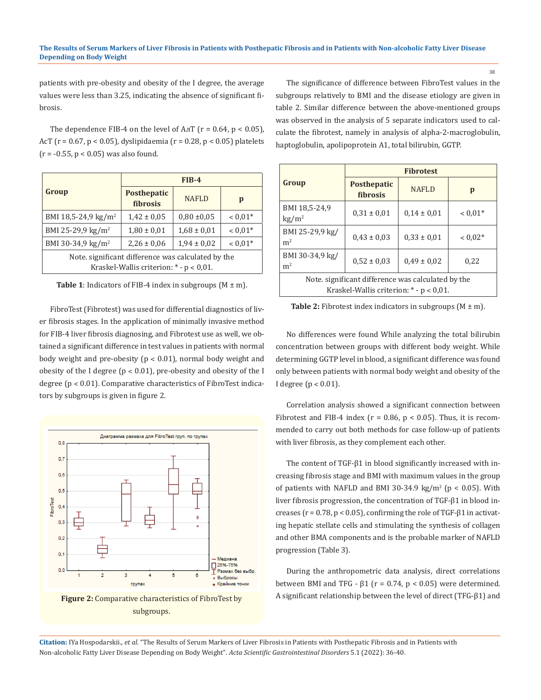patients with pre-obesity and obesity of the I degree, the average values were less than 3.25, indicating the absence of significant fibrosis.

The dependence FIB-4 on the level of  $A\pi$ T ( $r = 0.64$ ,  $p < 0.05$ ), AcT (r = 0.67, p < 0.05), dyslipidaemia (r = 0.28, p < 0.05) platelets  $(r = -0.55, p < 0.05)$  was also found.

|                                                                                                    | $FIB-4$                        |                 |           |  |  |
|----------------------------------------------------------------------------------------------------|--------------------------------|-----------------|-----------|--|--|
| Group                                                                                              | <b>Posthepatic</b><br>fibrosis | <b>NAFLD</b>    | p         |  |  |
| BMI 18,5-24,9 kg/m <sup>2</sup>                                                                    | $1.42 \pm 0.05$                | $0.80 \pm 0.05$ | $< 0.01*$ |  |  |
| BMI 25-29,9 kg/m <sup>2</sup>                                                                      | $1,80 \pm 0,01$                | $1,68 \pm 0,01$ | $< 0.01*$ |  |  |
| BMI 30-34,9 kg/m <sup>2</sup>                                                                      | $2,26 \pm 0,06$                | $1,94 \pm 0,02$ | $< 0.01*$ |  |  |
| Note, significant difference was calculated by the<br>Kraskel-Wallis criterion: $*$ - $p < 0.01$ . |                                |                 |           |  |  |

**Table 1**: Indicators of FIB-4 index in subgroups  $(M \pm m)$ .

FibroTest (Fibrotest) was used for differential diagnostics of liver fibrosis stages. In the application of minimally invasive method for FIB-4 liver fibrosis diagnosing, and Fibrotest use as well, we obtained a significant difference in test values in patients with normal body weight and pre-obesity  $(p < 0.01)$ , normal body weight and obesity of the I degree ( $p < 0.01$ ), pre-obesity and obesity of the I degree ( $p < 0.01$ ). Comparative characteristics of FibroTest indicators by subgroups is given in figure 2.



The significance of difference between FibroTest values in the subgroups relatively to BMI and the disease etiology are given in table 2. Similar difference between the above-mentioned groups was observed in the analysis of 5 separate indicators used to calculate the fibrotest, namely in analysis of alpha-2-macroglobulin, haptoglobulin, apolipoprotein A1, total bilirubin, GGTP.

|                                                                                                  | <b>Fibrotest</b>                      |                 |           |  |  |
|--------------------------------------------------------------------------------------------------|---------------------------------------|-----------------|-----------|--|--|
| Group                                                                                            | <b>Posthepatic</b><br><b>fibrosis</b> | <b>NAFLD</b>    | p         |  |  |
| BMI 18,5-24,9<br>$\text{kg}/\text{m}^2$                                                          | $0.31 \pm 0.01$                       | $0.14 \pm 0.01$ | $< 0.01*$ |  |  |
| BMI 25-29,9 kg/<br>m <sup>2</sup>                                                                | $0.43 \pm 0.03$                       | $0.33 \pm 0.01$ | $0.02*$   |  |  |
| BMI 30-34,9 kg/<br>m <sup>2</sup>                                                                | $0.52 \pm 0.03$                       | $0.49 \pm 0.02$ | 0,22      |  |  |
| Note, significant difference was calculated by the<br>Kraskel-Wallis criterion: $* - p < 0.01$ . |                                       |                 |           |  |  |

**Table 2:** Fibrotest index indicators in subgroups  $(M \pm m)$ .

No differences were found While analyzing the total bilirubin concentration between groups with different body weight. While determining GGTP level in blood, a significant difference was found only between patients with normal body weight and obesity of the I degree  $(p < 0.01)$ .

Correlation analysis showed a significant connection between Fibrotest and FIB-4 index ( $r = 0.86$ ,  $p < 0.05$ ). Thus, it is recommended to carry out both methods for case follow-up of patients with liver fibrosis, as they complement each other.

The content of TGF-β1 in blood significantly increased with increasing fibrosis stage and BMI with maximum values in the group of patients with NAFLD and BMI 30-34.9  $\text{kg/m}^2$  (p < 0.05). With liver fibrosis progression, the concentration of TGF-β1 in blood increases ( $r = 0.78$ ,  $p < 0.05$ ), confirming the role of TGF- $\beta$ 1 in activating hepatic stellate cells and stimulating the synthesis of collagen and other BMA components and is the probable marker of NAFLD progression (Table 3).

During the anthropometric data analysis, direct correlations between BMI and TFG -  $β1$  (r = 0.74, p < 0.05) were determined. A significant relationship between the level of direct (TFG-β1) and

**Citation:** ІYa Hospodarskii*., et al.* "The Results of Serum Markers of Liver Fibrosis in Patients with Posthepatic Fibrosis and in Patients with Non-alcoholic Fatty Liver Disease Depending on Body Weight". *Acta Scientific Gastrointestinal Disorders* 5.1 (2022): 36-40.

38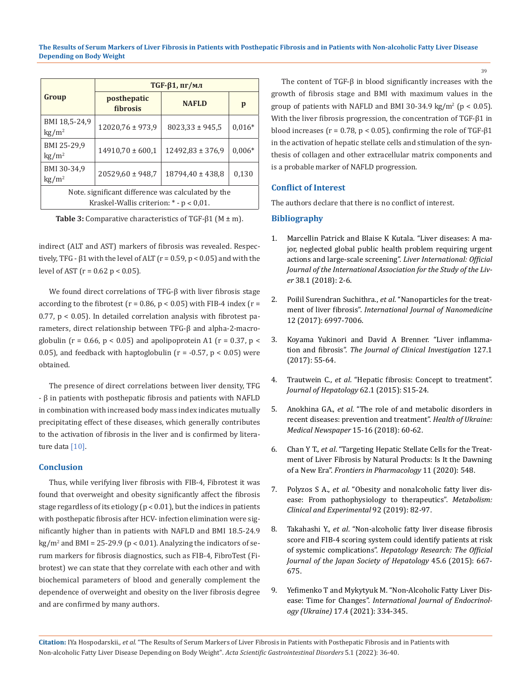|                                                                                                    |                         | $TGF-β1, \pi r/mJ$   |          |  |  |
|----------------------------------------------------------------------------------------------------|-------------------------|----------------------|----------|--|--|
| Group                                                                                              | posthepatic<br>fibrosis | <b>NAFLD</b>         | p        |  |  |
| BMI 18,5-24,9<br>$\text{kg}/\text{m}^2$                                                            | 12020,76 ± 973,9        | $8023,33 \pm 945,5$  | $0,016*$ |  |  |
| BMI 25-29,9<br>$\text{kg}/\text{m}^2$                                                              | $14910,70 \pm 600,1$    | $12492.83 \pm 376.9$ | $0,006*$ |  |  |
| BMI 30-34,9<br>$\text{kg/m}^2$                                                                     | $20529,60 \pm 948,7$    | $18794.40 \pm 438.8$ | 0,130    |  |  |
| Note, significant difference was calculated by the<br>Kraskel-Wallis criterion: $*$ - $p < 0.01$ . |                         |                      |          |  |  |

**Table 3:** Comparative characteristics of TGF-β1 (M ± m).

indirect (ALT and AST) markers of fibrosis was revealed. Respectively, TFG -  $β1$  with the level of ALT ( $r = 0.59$ ,  $p < 0.05$ ) and with the level of AST ( $r = 0.62$  p < 0.05).

We found direct correlations of TFG-β with liver fibrosis stage according to the fibrotest ( $r = 0.86$ ,  $p < 0.05$ ) with FIB-4 index ( $r =$ 0.77, p < 0.05). In detailed correlation analysis with fibrotest parameters, direct relationship between TFG-β and alpha-2-macroglobulin ( $r = 0.66$ ,  $p < 0.05$ ) and apolipoprotein A1 ( $r = 0.37$ ,  $p <$ 0.05), and feedback with haptoglobulin ( $r = -0.57$ ,  $p < 0.05$ ) were obtained.

The presence of direct correlations between liver density, TFG - β in patients with posthepatic fibrosis and patients with NAFLD in combination with increased body mass index indicates mutually precipitating effect of these diseases, which generally contributes to the activation of fibrosis in the liver and is confirmed by literature data [10].

## **Conclusion**

Thus, while verifying liver fibrosis with FIB-4, Fibrotest it was found that overweight and obesity significantly affect the fibrosis stage regardless of its etiology ( $p < 0.01$ ), but the indices in patients with posthepatic fibrosis after HCV- infection elimination were significantly higher than in patients with NAFLD and BMI 18.5-24.9  $\text{kg/m}^2$  and BMI = 25-29.9 (p < 0.01). Analyzing the indicators of serum markers for fibrosis diagnostics, such as FIB-4, FibroTest (Fibrotest) we can state that they correlate with each other and with biochemical parameters of blood and generally complement the dependence of overweight and obesity on the liver fibrosis degree and are confirmed by many authors.

The content of TGF-β in blood significantly increases with the growth of fibrosis stage and BMI with maximum values in the group of patients with NAFLD and BMI 30-34.9 kg/m<sup>2</sup> ( $p < 0.05$ ). With the liver fibrosis progression, the concentration of TGF-β1 in blood increases ( $r = 0.78$ ,  $p < 0.05$ ), confirming the role of TGF- $\beta$ 1 in the activation of hepatic stellate cells and stimulation of the synthesis of collagen and other extracellular matrix components and is a probable marker of NAFLD progression.

## **Conflict of Interest**

The authors declare that there is no conflict of interest.

#### **Bibliography**

- 1. [Marcellin Patrick and Blaise K Kutala. "Liver diseases: A ma](https://onlinelibrary.wiley.com/doi/full/10.1111/liv.13682)[jor, neglected global public health problem requiring urgent](https://onlinelibrary.wiley.com/doi/full/10.1111/liv.13682)  [actions and large-scale screening".](https://onlinelibrary.wiley.com/doi/full/10.1111/liv.13682) *Liver International: Official [Journal of the International Association for the Study of the Liv](https://onlinelibrary.wiley.com/doi/full/10.1111/liv.13682)er* [38.1 \(2018\): 2-6.](https://onlinelibrary.wiley.com/doi/full/10.1111/liv.13682)
- 2. Poilil Surendran Suchithra., *et al*[. "Nanoparticles for the treat](https://pubmed.ncbi.nlm.nih.gov/29033567/)ment of liver fibrosis". *[International Journal of Nanomedicine](https://pubmed.ncbi.nlm.nih.gov/29033567/)* [12 \(2017\): 6997-7006.](https://pubmed.ncbi.nlm.nih.gov/29033567/)
- 3. [Koyama Yukinori and David A Brenner. "Liver inflamma](https://www.jci.org/articles/view/88881)tion and fibrosis". *[The Journal of Clinical Investigation](https://www.jci.org/articles/view/88881)* 127.1 [\(2017\): 55-64.](https://www.jci.org/articles/view/88881)
- 4. Trautwein C., *et al*[. "Hepatic fibrosis: Concept to treatment".](https://pubmed.ncbi.nlm.nih.gov/25920084/)  *[Journal of Hepatology](https://pubmed.ncbi.nlm.nih.gov/25920084/)* 62.1 (2015): S15-24.
- 5. Anokhina GA., *et al*. "The role of and metabolic disorders in recent diseases: prevention and treatment". *Health of Ukraine: Medical Newspaper* 15-16 (2018): 60-62.
- 6. Chan Y T., *et al*[. "Targeting Hepatic Stellate Cells for the Treat](https://pubmed.ncbi.nlm.nih.gov/32425789/)[ment of Liver Fibrosis by Natural Products: Is It the Dawning](https://pubmed.ncbi.nlm.nih.gov/32425789/)  of a New Era". *[Frontiers in Pharmacology](https://pubmed.ncbi.nlm.nih.gov/32425789/)* 11 (2020): 548.
- 7. Polyzos S A., *et al*[. "Obesity and nonalcoholic fatty liver dis](https://pubmed.ncbi.nlm.nih.gov/30502373/)[ease: From pathophysiology to therapeutics".](https://pubmed.ncbi.nlm.nih.gov/30502373/) *Metabolism: [Clinical and Experimental](https://pubmed.ncbi.nlm.nih.gov/30502373/)* 92 (2019): 82-97.
- 8. Takahashi Y., *et al*[. "Non-alcoholic fatty liver disease fibrosis](https://pubmed.ncbi.nlm.nih.gov/25145976/)  [score and FIB-4 scoring system could identify patients at risk](https://pubmed.ncbi.nlm.nih.gov/25145976/)  of systemic complications". *[Hepatology Research: The Official](https://pubmed.ncbi.nlm.nih.gov/25145976/)  [Journal of the Japan Society of Hepatology](https://pubmed.ncbi.nlm.nih.gov/25145976/)* 45.6 (2015): 667- [675.](https://pubmed.ncbi.nlm.nih.gov/25145976/)
- 9. [Yefimenko T and Mykytyuk M. "Non-Alcoholic Fatty Liver Dis](http://iej.zaslavsky.com.ua/article/view/237350)ease: Time for Changes". *[International Journal of Endocrinol](http://iej.zaslavsky.com.ua/article/view/237350)ogy (Ukraine)* [17.4 \(2021\): 334-345.](http://iej.zaslavsky.com.ua/article/view/237350)

**Citation:** ІYa Hospodarskii*., et al.* "The Results of Serum Markers of Liver Fibrosis in Patients with Posthepatic Fibrosis and in Patients with Non-alcoholic Fatty Liver Disease Depending on Body Weight". *Acta Scientific Gastrointestinal Disorders* 5.1 (2022): 36-40.

39